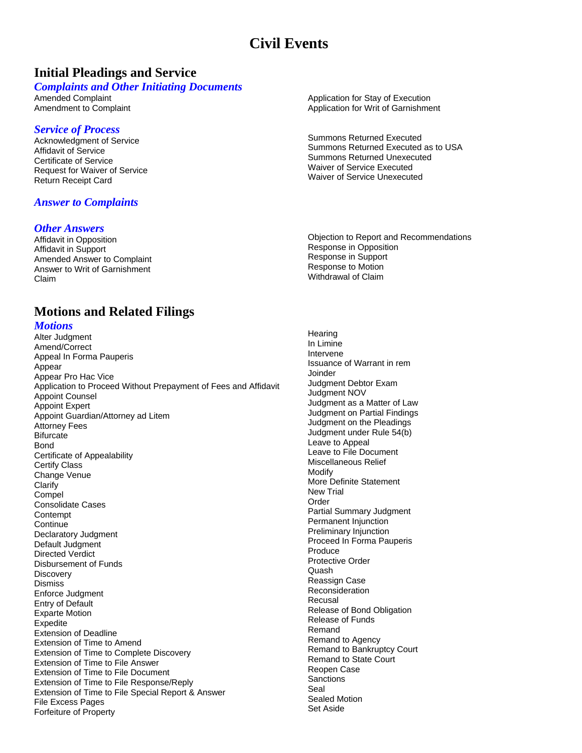# **Civil Events**

## **Initial Pleadings and Service**

#### *Complaints and Other Initiating Documents*

Amended Complaint Amendment to Complaint

### *Service of Process*

Acknowledgment of Service Affidavit of Service Certificate of Service Request for Waiver of Service Return Receipt Card

## *Answer to Complaints*

#### *Other Answers*

Affidavit in Opposition Affidavit in Support Amended Answer to Complaint Answer to Writ of Garnishment Claim

#### **Motions and Related Filings** *Motions* Alter Judgment Amend/Correct Appeal In Forma Pauperis Appear Appear Pro Hac Vice Application to Proceed Without Prepayment of Fees and Affidavit Appoint Counsel Appoint Expert Appoint Guardian/Attorney ad Litem Attorney Fees **Bifurcate Bond** Certificate of Appealability Certify Class Change Venue Clarify Compel Consolidate Cases **Contempt Continue** Declaratory Judgment Default Judgment Directed Verdict Disbursement of Funds **Discovery Dismiss** Enforce Judgment Entry of Default Exparte Motion **Expedite** Extension of Deadline Extension of Time to Amend Extension of Time to Complete Discovery Extension of Time to File Answer Extension of Time to File Document Extension of Time to File Response/Reply Extension of Time to File Special Report & Answer File Excess Pages Forfeiture of Property

Application for Stay of Execution Application for Writ of Garnishment

Summons Returned Executed Summons Returned Executed as to USA Summons Returned Unexecuted Waiver of Service Executed Waiver of Service Unexecuted

Objection to Report and Recommendations Response in Opposition Response in Support Response to Motion Withdrawal of Claim

**Hearing** In Limine Intervene Issuance of Warrant in rem Joinder Judgment Debtor Exam Judgment NOV Judgment as a Matter of Law Judgment on Partial Findings Judgment on the Pleadings Judgment under Rule 54(b) Leave to Appeal Leave to File Document Miscellaneous Relief Modify More Definite Statement New Trial Order Partial Summary Judgment Permanent Injunction Preliminary Injunction Proceed In Forma Pauperis Produce Protective Order **Quash** Reassign Case Reconsideration Recusal Release of Bond Obligation Release of Funds Remand Remand to Agency Remand to Bankruptcy Court Remand to State Court Reopen Case **Sanctions** Seal Sealed Motion Set Aside